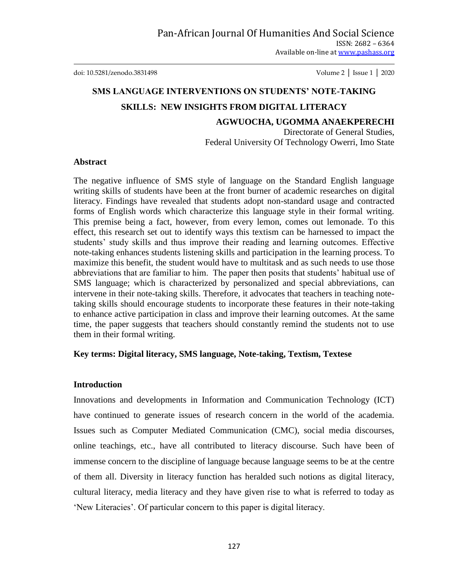doi: 10.5281/zenodo.3831498 Volume 2 │ Issue 1 │ 2020

# **SMS LANGUAGE INTERVENTIONS ON STUDENTS' NOTE-TAKING SKILLS: NEW INSIGHTS FROM DIGITAL LITERACY**

**AGWUOCHA, UGOMMA ANAEKPERECHI**

Directorate of General Studies, Federal University Of Technology Owerri, Imo State

#### **Abstract**

The negative influence of SMS style of language on the Standard English language writing skills of students have been at the front burner of academic researches on digital literacy. Findings have revealed that students adopt non-standard usage and contracted forms of English words which characterize this language style in their formal writing. This premise being a fact, however, from every lemon, comes out lemonade. To this effect, this research set out to identify ways this textism can be harnessed to impact the students' study skills and thus improve their reading and learning outcomes. Effective note-taking enhances students listening skills and participation in the learning process. To maximize this benefit, the student would have to multitask and as such needs to use those abbreviations that are familiar to him. The paper then posits that students' habitual use of SMS language; which is characterized by personalized and special abbreviations, can intervene in their note-taking skills. Therefore, it advocates that teachers in teaching notetaking skills should encourage students to incorporate these features in their note-taking to enhance active participation in class and improve their learning outcomes. At the same time, the paper suggests that teachers should constantly remind the students not to use them in their formal writing.

#### **Key terms: Digital literacy, SMS language, Note-taking, Textism, Textese**

#### **Introduction**

Innovations and developments in Information and Communication Technology (ICT) have continued to generate issues of research concern in the world of the academia. Issues such as Computer Mediated Communication (CMC), social media discourses, online teachings, etc., have all contributed to literacy discourse. Such have been of immense concern to the discipline of language because language seems to be at the centre of them all. Diversity in literacy function has heralded such notions as digital literacy, cultural literacy, media literacy and they have given rise to what is referred to today as "New Literacies". Of particular concern to this paper is digital literacy.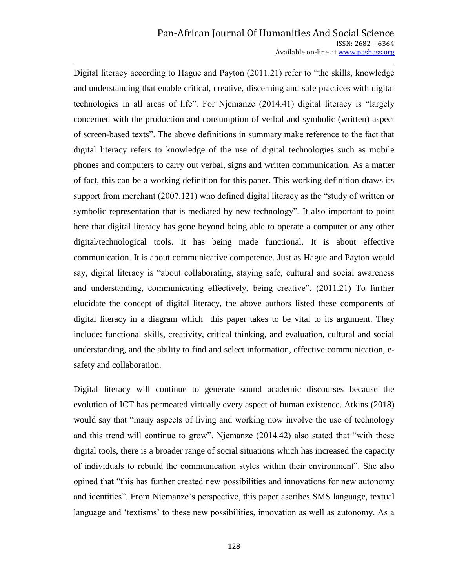Digital literacy according to Hague and Payton (2011.21) refer to "the skills, knowledge and understanding that enable critical, creative, discerning and safe practices with digital technologies in all areas of life"*.* For Njemanze (2014.41) digital literacy is "largely concerned with the production and consumption of verbal and symbolic (written) aspect of screen-based texts". The above definitions in summary make reference to the fact that digital literacy refers to knowledge of the use of digital technologies such as mobile phones and computers to carry out verbal, signs and written communication. As a matter of fact, this can be a working definition for this paper. This working definition draws its support from merchant (2007.121) who defined digital literacy as the "study of written or symbolic representation that is mediated by new technology"*.* It also important to point here that digital literacy has gone beyond being able to operate a computer or any other digital/technological tools. It has being made functional. It is about effective communication. It is about communicative competence. Just as Hague and Payton would say, digital literacy is "about collaborating, staying safe, cultural and social awareness and understanding, communicating effectively, being creative", (2011.21) To further elucidate the concept of digital literacy, the above authors listed these components of digital literacy in a diagram which this paper takes to be vital to its argument. They include: functional skills, creativity, critical thinking, and evaluation, cultural and social understanding, and the ability to find and select information, effective communication, esafety and collaboration.

Digital literacy will continue to generate sound academic discourses because the evolution of ICT has permeated virtually every aspect of human existence. Atkins (2018) would say that "many aspects of living and working now involve the use of technology and this trend will continue to grow". Njemanze (2014.42) also stated that "with these digital tools, there is a broader range of social situations which has increased the capacity of individuals to rebuild the communication styles within their environment". She also opined that "this has further created new possibilities and innovations for new autonomy and identities". From Njemanze's perspective, this paper ascribes SMS language, textual language and 'textisms' to these new possibilities, innovation as well as autonomy. As a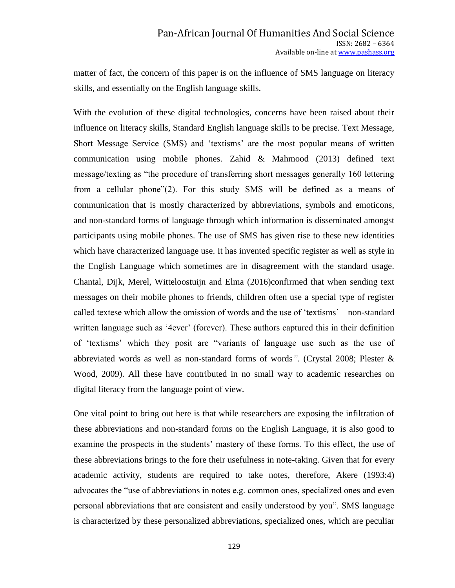matter of fact, the concern of this paper is on the influence of SMS language on literacy skills, and essentially on the English language skills.

With the evolution of these digital technologies, concerns have been raised about their influence on literacy skills, Standard English language skills to be precise. Text Message, Short Message Service (SMS) and "textisms" are the most popular means of written communication using mobile phones. Zahid & Mahmood (2013) defined text message/texting as "the procedure of transferring short messages generally 160 lettering from a cellular phone"(2). For this study SMS will be defined as a means of communication that is mostly characterized by abbreviations, symbols and emoticons, and non-standard forms of language through which information is disseminated amongst participants using mobile phones. The use of SMS has given rise to these new identities which have characterized language use. It has invented specific register as well as style in the English Language which sometimes are in disagreement with the standard usage. Chantal, Dijk, Merel, Witteloostuijn and Elma (2016)confirmed that when sending text messages on their mobile phones to friends, children often use a special type of register called textese which allow the omission of words and the use of "textisms" – non-standard written language such as '4ever' (forever). These authors captured this in their definition of "textisms" which they posit are "variants of language use such as the use of abbreviated words as well as non-standard forms of words*"*. (Crystal 2008; Plester & Wood, 2009). All these have contributed in no small way to academic researches on digital literacy from the language point of view.

One vital point to bring out here is that while researchers are exposing the infiltration of these abbreviations and non-standard forms on the English Language, it is also good to examine the prospects in the students' mastery of these forms. To this effect, the use of these abbreviations brings to the fore their usefulness in note-taking. Given that for every academic activity, students are required to take notes, therefore, Akere (1993:4) advocates the "use of abbreviations in notes e.g. common ones, specialized ones and even personal abbreviations that are consistent and easily understood by you". SMS language is characterized by these personalized abbreviations, specialized ones, which are peculiar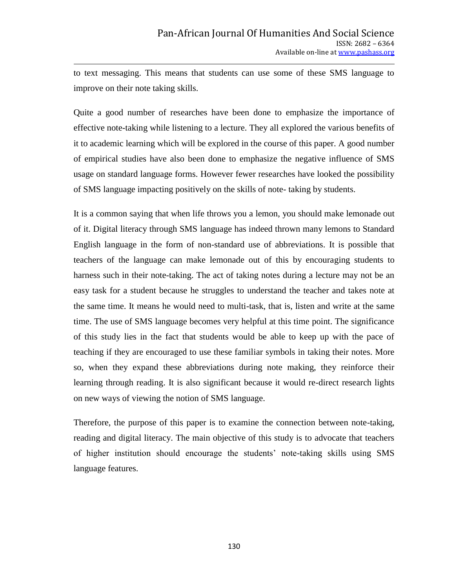to text messaging. This means that students can use some of these SMS language to improve on their note taking skills.

Quite a good number of researches have been done to emphasize the importance of effective note-taking while listening to a lecture. They all explored the various benefits of it to academic learning which will be explored in the course of this paper. A good number of empirical studies have also been done to emphasize the negative influence of SMS usage on standard language forms. However fewer researches have looked the possibility of SMS language impacting positively on the skills of note- taking by students.

It is a common saying that when life throws you a lemon, you should make lemonade out of it. Digital literacy through SMS language has indeed thrown many lemons to Standard English language in the form of non-standard use of abbreviations. It is possible that teachers of the language can make lemonade out of this by encouraging students to harness such in their note-taking. The act of taking notes during a lecture may not be an easy task for a student because he struggles to understand the teacher and takes note at the same time. It means he would need to multi-task, that is, listen and write at the same time. The use of SMS language becomes very helpful at this time point. The significance of this study lies in the fact that students would be able to keep up with the pace of teaching if they are encouraged to use these familiar symbols in taking their notes. More so, when they expand these abbreviations during note making, they reinforce their learning through reading. It is also significant because it would re-direct research lights on new ways of viewing the notion of SMS language.

Therefore, the purpose of this paper is to examine the connection between note-taking, reading and digital literacy. The main objective of this study is to advocate that teachers of higher institution should encourage the students" note-taking skills using SMS language features.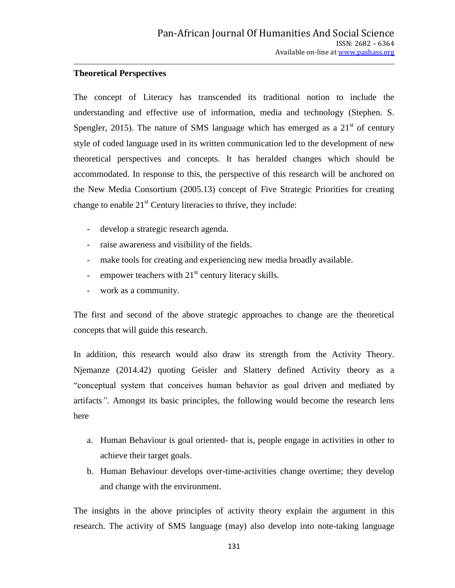# **Theoretical Perspectives**

The concept of Literacy has transcended its traditional notion to include the understanding and effective use of information, media and technology (Stephen. S. Spengler, 2015). The nature of SMS language which has emerged as a  $21<sup>st</sup>$  of century style of coded language used in its written communication led to the development of new theoretical perspectives and concepts. It has heralded changes which should be accommodated. In response to this, the perspective of this research will be anchored on the New Media Consortium (2005.13) concept of Five Strategic Priorities for creating change to enable  $21<sup>st</sup>$  Century literacies to thrive, they include:

- develop a strategic research agenda.
- raise awareness and visibility of the fields.
- make tools for creating and experiencing new media broadly available.
- empower teachers with  $21<sup>st</sup>$  century literacy skills.
- work as a community.

The first and second of the above strategic approaches to change are the theoretical concepts that will guide this research.

In addition, this research would also draw its strength from the Activity Theory. Njemanze (2014.42) quoting Geisler and Slattery defined Activity theory as a "conceptual system that conceives human behavior as goal driven and mediated by artifacts*"*. Amongst its basic principles, the following would become the research lens here

- a. Human Behaviour is goal oriented- that is, people engage in activities in other to achieve their target goals.
- b. Human Behaviour develops over-time-activities change overtime; they develop and change with the environment.

The insights in the above principles of activity theory explain the argument in this research. The activity of SMS language (may) also develop into note-taking language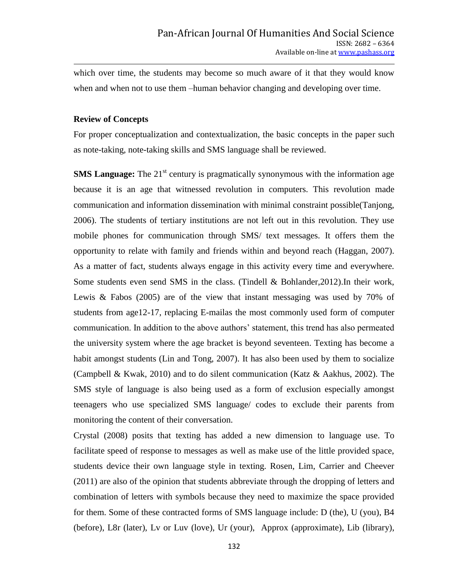which over time, the students may become so much aware of it that they would know when and when not to use them –human behavior changing and developing over time.

#### **Review of Concepts**

For proper conceptualization and contextualization, the basic concepts in the paper such as note-taking, note-taking skills and SMS language shall be reviewed.

**SMS Language:** The 21<sup>st</sup> century is pragmatically synonymous with the information age because it is an age that witnessed revolution in computers. This revolution made communication and information dissemination with minimal constraint possible(Tanjong, 2006). The students of tertiary institutions are not left out in this revolution. They use mobile phones for communication through SMS/ text messages. It offers them the opportunity to relate with family and friends within and beyond reach (Haggan, 2007). As a matter of fact, students always engage in this activity every time and everywhere. Some students even send SMS in the class. (Tindell & Bohlander,2012).In their work, Lewis & Fabos (2005) are of the view that instant messaging was used by 70% of students from age12-17, replacing E-mailas the most commonly used form of computer communication. In addition to the above authors" statement, this trend has also permeated the university system where the age bracket is beyond seventeen. Texting has become a habit amongst students (Lin and Tong, 2007). It has also been used by them to socialize (Campbell & Kwak, 2010) and to do silent communication (Katz & Aakhus, 2002). The SMS style of language is also being used as a form of exclusion especially amongst teenagers who use specialized SMS language/ codes to exclude their parents from monitoring the content of their conversation.

Crystal (2008) posits that texting has added a new dimension to language use. To facilitate speed of response to messages as well as make use of the little provided space, students device their own language style in texting. Rosen, Lim, Carrier and Cheever (2011) are also of the opinion that students abbreviate through the dropping of letters and combination of letters with symbols because they need to maximize the space provided for them. Some of these contracted forms of SMS language include: D (the), U (you), B4 (before), L8r (later), Lv or Luv (love), Ur (your), Approx (approximate), Lib (library),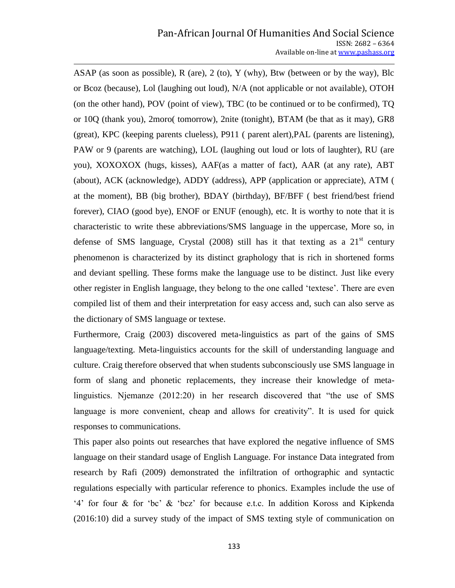ASAP (as soon as possible), R (are), 2 (to), Y (why), Btw (between or by the way), Blc or Bcoz (because), Lol (laughing out loud), N/A (not applicable or not available), OTOH (on the other hand), POV (point of view), TBC (to be continued or to be confirmed), TQ or 10Q (thank you), 2moro( tomorrow), 2nite (tonight), BTAM (be that as it may), GR8 (great), KPC (keeping parents clueless), P911 ( parent alert),PAL (parents are listening), PAW or 9 (parents are watching), LOL (laughing out loud or lots of laughter), RU (are you), XOXOXOX (hugs, kisses), AAF(as a matter of fact), AAR (at any rate), ABT (about), ACK (acknowledge), ADDY (address), APP (application or appreciate), ATM ( at the moment), BB (big brother), BDAY (birthday), BF/BFF ( best friend/best friend forever), CIAO (good bye), ENOF or ENUF (enough), etc. It is worthy to note that it is characteristic to write these abbreviations/SMS language in the uppercase, More so, in defense of SMS language, Crystal  $(2008)$  still has it that texting as a  $21<sup>st</sup>$  century phenomenon is characterized by its distinct graphology that is rich in shortened forms and deviant spelling. These forms make the language use to be distinct. Just like every other register in English language, they belong to the one called "textese". There are even compiled list of them and their interpretation for easy access and, such can also serve as the dictionary of SMS language or textese.

Furthermore, Craig (2003) discovered meta-linguistics as part of the gains of SMS language/texting. Meta-linguistics accounts for the skill of understanding language and culture. Craig therefore observed that when students subconsciously use SMS language in form of slang and phonetic replacements, they increase their knowledge of metalinguistics. Njemanze (2012:20) in her research discovered that "the use of SMS language is more convenient, cheap and allows for creativity". It is used for quick responses to communications.

This paper also points out researches that have explored the negative influence of SMS language on their standard usage of English Language. For instance Data integrated from research by Rafi (2009) demonstrated the infiltration of orthographic and syntactic regulations especially with particular reference to phonics. Examples include the use of "4" for four & for "bc" & "bcz" for because e.t.c. In addition Koross and Kipkenda (2016:10) did a survey study of the impact of SMS texting style of communication on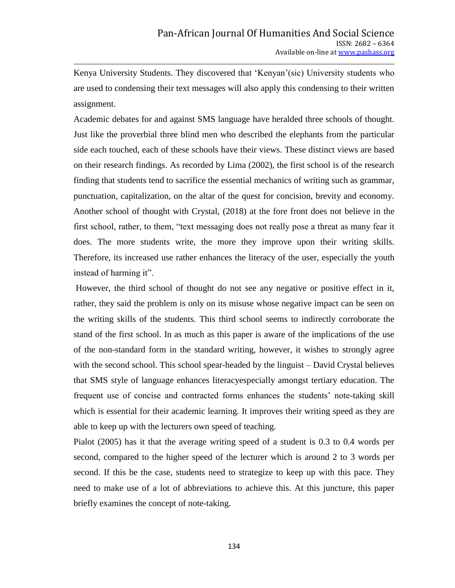Kenya University Students. They discovered that 'Kenyan'(sic) University students who are used to condensing their text messages will also apply this condensing to their written assignment.

Academic debates for and against SMS language have heralded three schools of thought. Just like the proverbial three blind men who described the elephants from the particular side each touched, each of these schools have their views. These distinct views are based on their research findings. As recorded by Lima (2002), the first school is of the research finding that students tend to sacrifice the essential mechanics of writing such as grammar, punctuation, capitalization, on the altar of the quest for concision, brevity and economy. Another school of thought with Crystal, (2018) at the fore front does not believe in the first school, rather, to them, "text messaging does not really pose a threat as many fear it does. The more students write, the more they improve upon their writing skills. Therefore, its increased use rather enhances the literacy of the user, especially the youth instead of harming it".

However, the third school of thought do not see any negative or positive effect in it, rather, they said the problem is only on its misuse whose negative impact can be seen on the writing skills of the students. This third school seems to indirectly corroborate the stand of the first school. In as much as this paper is aware of the implications of the use of the non-standard form in the standard writing, however, it wishes to strongly agree with the second school. This school spear-headed by the linguist – David Crystal believes that SMS style of language enhances literacyespecially amongst tertiary education. The frequent use of concise and contracted forms enhances the students' note-taking skill which is essential for their academic learning. It improves their writing speed as they are able to keep up with the lecturers own speed of teaching.

Pialot (2005) has it that the average writing speed of a student is 0.3 to 0.4 words per second, compared to the higher speed of the lecturer which is around 2 to 3 words per second. If this be the case, students need to strategize to keep up with this pace. They need to make use of a lot of abbreviations to achieve this. At this juncture, this paper briefly examines the concept of note-taking.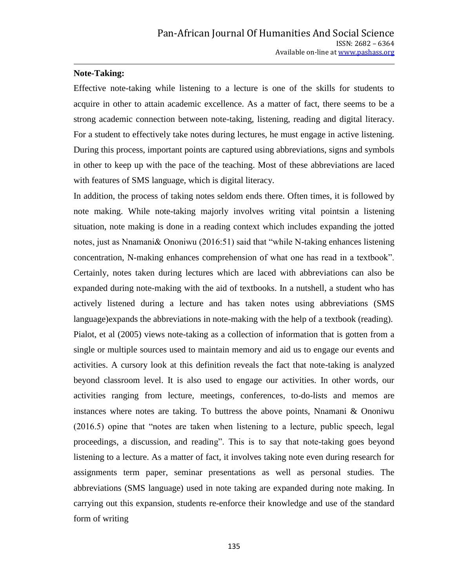#### **Note-Taking:**

Effective note-taking while listening to a lecture is one of the skills for students to acquire in other to attain academic excellence. As a matter of fact, there seems to be a strong academic connection between note-taking, listening, reading and digital literacy. For a student to effectively take notes during lectures, he must engage in active listening. During this process, important points are captured using abbreviations, signs and symbols in other to keep up with the pace of the teaching. Most of these abbreviations are laced with features of SMS language, which is digital literacy.

In addition, the process of taking notes seldom ends there. Often times, it is followed by note making. While note-taking majorly involves writing vital pointsin a listening situation, note making is done in a reading context which includes expanding the jotted notes, just as Nnamani& Ononiwu (2016:51) said that "while N-taking enhances listening concentration, N-making enhances comprehension of what one has read in a textbook". Certainly, notes taken during lectures which are laced with abbreviations can also be expanded during note-making with the aid of textbooks. In a nutshell, a student who has actively listened during a lecture and has taken notes using abbreviations (SMS language)expands the abbreviations in note-making with the help of a textbook (reading). Pialot, et al (2005) views note-taking as a collection of information that is gotten from a single or multiple sources used to maintain memory and aid us to engage our events and activities. A cursory look at this definition reveals the fact that note-taking is analyzed beyond classroom level. It is also used to engage our activities. In other words, our activities ranging from lecture, meetings, conferences, to-do-lists and memos are instances where notes are taking. To buttress the above points, Nnamani & Ononiwu (2016.5) opine that "notes are taken when listening to a lecture, public speech, legal proceedings, a discussion, and reading". This is to say that note-taking goes beyond listening to a lecture. As a matter of fact, it involves taking note even during research for assignments term paper, seminar presentations as well as personal studies. The abbreviations (SMS language) used in note taking are expanded during note making. In carrying out this expansion, students re-enforce their knowledge and use of the standard form of writing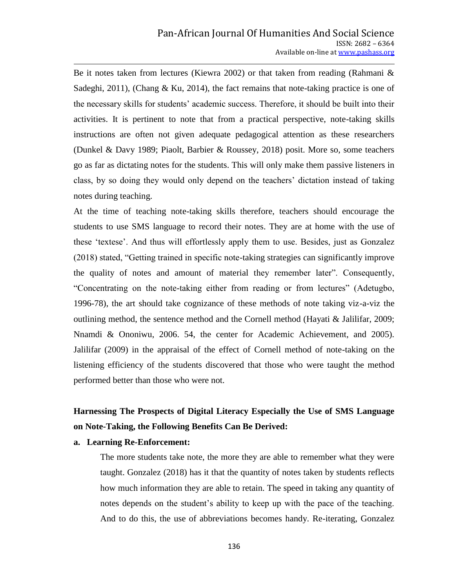Be it notes taken from lectures (Kiewra 2002) or that taken from reading (Rahmani & Sadeghi, 2011), (Chang & Ku, 2014), the fact remains that note-taking practice is one of the necessary skills for students" academic success. Therefore, it should be built into their activities. It is pertinent to note that from a practical perspective, note-taking skills instructions are often not given adequate pedagogical attention as these researchers (Dunkel & Davy 1989; Piaolt, Barbier & Roussey, 2018) posit. More so, some teachers go as far as dictating notes for the students. This will only make them passive listeners in class, by so doing they would only depend on the teachers" dictation instead of taking notes during teaching.

At the time of teaching note-taking skills therefore, teachers should encourage the students to use SMS language to record their notes. They are at home with the use of these "textese". And thus will effortlessly apply them to use. Besides, just as Gonzalez (2018) stated, "Getting trained in specific note-taking strategies can significantly improve the quality of notes and amount of material they remember later". Consequently, "Concentrating on the note-taking either from reading or from lectures" (Adetugbo, 1996-78), the art should take cognizance of these methods of note taking viz-a-viz the outlining method, the sentence method and the Cornell method (Hayati & Jalilifar, 2009; Nnamdi & Ononiwu, 2006. 54, the center for Academic Achievement, and 2005). Jalilifar (2009) in the appraisal of the effect of Cornell method of note-taking on the listening efficiency of the students discovered that those who were taught the method performed better than those who were not.

# **Harnessing The Prospects of Digital Literacy Especially the Use of SMS Language on Note-Taking, the Following Benefits Can Be Derived:**

#### **a. Learning Re-Enforcement:**

The more students take note, the more they are able to remember what they were taught. Gonzalez (2018) has it that the quantity of notes taken by students reflects how much information they are able to retain. The speed in taking any quantity of notes depends on the student"s ability to keep up with the pace of the teaching. And to do this, the use of abbreviations becomes handy. Re-iterating, Gonzalez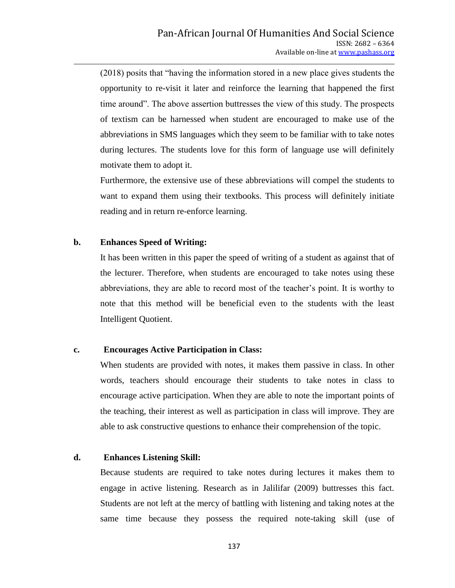(2018) posits that "having the information stored in a new place gives students the opportunity to re-visit it later and reinforce the learning that happened the first time around". The above assertion buttresses the view of this study. The prospects of textism can be harnessed when student are encouraged to make use of the abbreviations in SMS languages which they seem to be familiar with to take notes during lectures. The students love for this form of language use will definitely motivate them to adopt it.

Furthermore, the extensive use of these abbreviations will compel the students to want to expand them using their textbooks. This process will definitely initiate reading and in return re-enforce learning.

#### **b. Enhances Speed of Writing:**

It has been written in this paper the speed of writing of a student as against that of the lecturer. Therefore, when students are encouraged to take notes using these abbreviations, they are able to record most of the teacher"s point. It is worthy to note that this method will be beneficial even to the students with the least Intelligent Quotient.

#### **c. Encourages Active Participation in Class:**

When students are provided with notes, it makes them passive in class. In other words, teachers should encourage their students to take notes in class to encourage active participation. When they are able to note the important points of the teaching, their interest as well as participation in class will improve. They are able to ask constructive questions to enhance their comprehension of the topic.

## **d. Enhances Listening Skill:**

Because students are required to take notes during lectures it makes them to engage in active listening. Research as in Jalilifar (2009) buttresses this fact. Students are not left at the mercy of battling with listening and taking notes at the same time because they possess the required note-taking skill (use of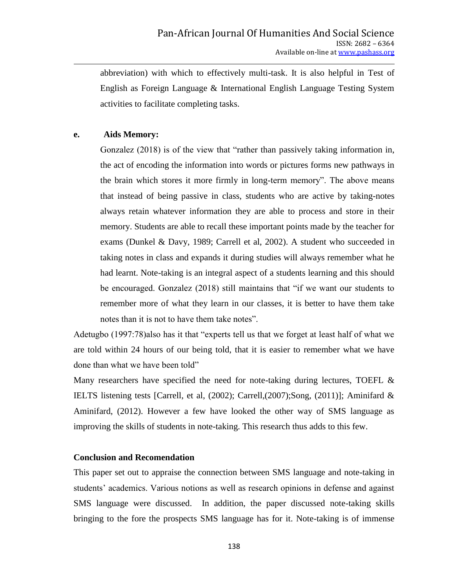abbreviation) with which to effectively multi-task. It is also helpful in Test of English as Foreign Language & International English Language Testing System activities to facilitate completing tasks.

## **e. Aids Memory:**

Gonzalez (2018) is of the view that "rather than passively taking information in, the act of encoding the information into words or pictures forms new pathways in the brain which stores it more firmly in long-term memory". The above means that instead of being passive in class, students who are active by taking-notes always retain whatever information they are able to process and store in their memory. Students are able to recall these important points made by the teacher for exams (Dunkel & Davy, 1989; Carrell et al, 2002). A student who succeeded in taking notes in class and expands it during studies will always remember what he had learnt. Note-taking is an integral aspect of a students learning and this should be encouraged. Gonzalez (2018) still maintains that "if we want our students to remember more of what they learn in our classes, it is better to have them take notes than it is not to have them take notes".

Adetugbo (1997:78)also has it that "experts tell us that we forget at least half of what we are told within 24 hours of our being told, that it is easier to remember what we have done than what we have been told"

Many researchers have specified the need for note-taking during lectures, TOEFL & IELTS listening tests [Carrell, et al, (2002); Carrell,(2007);Song, (2011)]; Aminifard & Aminifard, (2012). However a few have looked the other way of SMS language as improving the skills of students in note-taking. This research thus adds to this few.

# **Conclusion and Recomendation**

This paper set out to appraise the connection between SMS language and note-taking in students' academics. Various notions as well as research opinions in defense and against SMS language were discussed. In addition, the paper discussed note-taking skills bringing to the fore the prospects SMS language has for it. Note-taking is of immense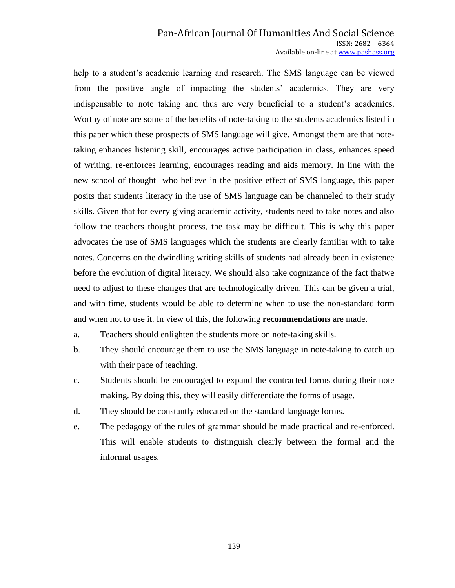#### Pan-African Journal Of Humanities And Social Science ISSN: 2682 – 6364 Available on-line at www.pashass.org

help to a student's academic learning and research. The SMS language can be viewed from the positive angle of impacting the students' academics. They are very indispensable to note taking and thus are very beneficial to a student's academics. Worthy of note are some of the benefits of note-taking to the students academics listed in this paper which these prospects of SMS language will give. Amongst them are that notetaking enhances listening skill, encourages active participation in class, enhances speed of writing, re-enforces learning, encourages reading and aids memory. In line with the new school of thought who believe in the positive effect of SMS language, this paper posits that students literacy in the use of SMS language can be channeled to their study skills. Given that for every giving academic activity, students need to take notes and also follow the teachers thought process, the task may be difficult. This is why this paper advocates the use of SMS languages which the students are clearly familiar with to take notes. Concerns on the dwindling writing skills of students had already been in existence before the evolution of digital literacy. We should also take cognizance of the fact thatwe need to adjust to these changes that are technologically driven. This can be given a trial, and with time, students would be able to determine when to use the non-standard form and when not to use it. In view of this, the following **recommendations** are made.

- a. Teachers should enlighten the students more on note-taking skills.
- b. They should encourage them to use the SMS language in note-taking to catch up with their pace of teaching.
- c. Students should be encouraged to expand the contracted forms during their note making. By doing this, they will easily differentiate the forms of usage.
- d. They should be constantly educated on the standard language forms.
- e. The pedagogy of the rules of grammar should be made practical and re-enforced. This will enable students to distinguish clearly between the formal and the informal usages.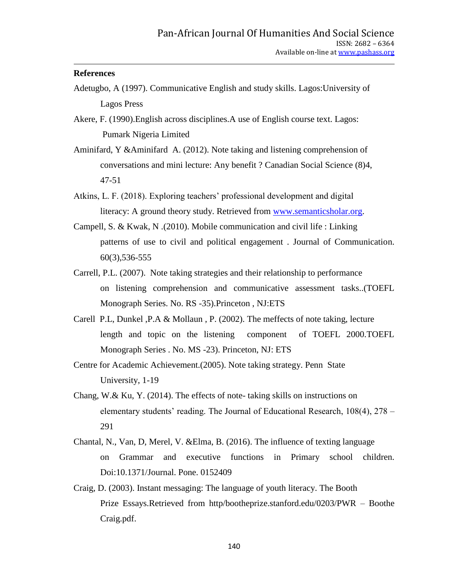#### **References**

- Adetugbo, A (1997). Communicative English and study skills. Lagos:University of Lagos Press
- Akere, F. (1990).English across disciplines.A use of English course text. Lagos: Pumark Nigeria Limited
- Aminifard, Y &Aminifard A. (2012). Note taking and listening comprehension of conversations and mini lecture: Any benefit ? Canadian Social Science (8)4, 47-51
- Atkins, L. F. (2018). Exploring teachers' professional development and digital literacy: A ground theory study. Retrieved from [www.semanticsholar.org.](http://www.semanticsholar.org/)
- Campell, S. & Kwak, N .(2010). Mobile communication and civil life : Linking patterns of use to civil and political engagement . Journal of Communication. 60(3),536-555
- Carrell, P.L. (2007). Note taking strategies and their relationship to performance on listening comprehension and communicative assessment tasks..(TOEFL Monograph Series. No. RS -35).Princeton , NJ:ETS
- Carell P.L, Dunkel ,P.A & Mollaun , P. (2002). The meffects of note taking, lecture length and topic on the listening component of TOEFL 2000.TOEFL Monograph Series . No. MS -23). Princeton, NJ: ETS
- Centre for Academic Achievement.(2005). Note taking strategy. Penn State University, 1-19
- Chang, W.& Ku, Y. (2014). The effects of note- taking skills on instructions on elementary students' reading. The Journal of Educational Research,  $108(4)$ ,  $278 -$ 291
- Chantal, N., Van, D, Merel, V. &Elma, B. (2016). The influence of texting language on Grammar and executive functions in Primary school children. Doi:10.1371/Journal. Pone. 0152409
- Craig, D. (2003). Instant messaging: The language of youth literacy. The Booth Prize Essays.Retrieved from http/bootheprize.stanford.edu/0203/PWR – Boothe Craig.pdf.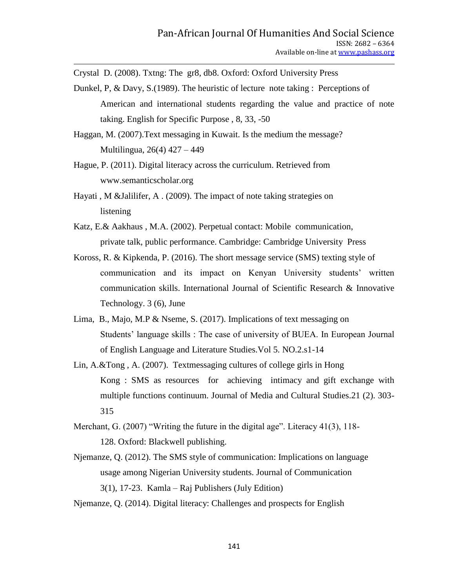Crystal D. (2008). Txtng: The gr8, db8. Oxford: Oxford University Press

- Dunkel, P, & Davy, S.(1989). The heuristic of lecture note taking : Perceptions of American and international students regarding the value and practice of note taking. English for Specific Purpose , 8, 33, -50
- Haggan, M. (2007).Text messaging in Kuwait. Is the medium the message? Multilingua, 26(4) 427 – 449
- Hague, P. (2011). Digital literacy across the curriculum. Retrieved from www.semanticscholar.org
- Hayati , M &Jalilifer, A . (2009). The impact of note taking strategies on listening
- Katz, E.& Aakhaus , M.A. (2002). Perpetual contact: Mobile communication, private talk, public performance. Cambridge: Cambridge University Press
- Koross, R. & Kipkenda, P. (2016). The short message service (SMS) texting style of communication and its impact on Kenyan University students" written communication skills. International Journal of Scientific Research & Innovative Technology. 3 (6), June
- Lima, B., Majo, M.P & Nseme, S. (2017). Implications of text messaging on Students' language skills : The case of university of BUEA. In European Journal of English Language and Literature Studies.Vol 5. NO.2.s1-14
- Lin, A.&Tong , A. (2007). Textmessaging cultures of college girls in Hong Kong : SMS as resources for achieving intimacy and gift exchange with multiple functions continuum. Journal of Media and Cultural Studies.21 (2). 303- 315
- Merchant, G. (2007) "Writing the future in the digital age". Literacy 41(3), 118- 128. Oxford: Blackwell publishing.
- Njemanze, Q. (2012). The SMS style of communication: Implications on language usage among Nigerian University students. Journal of Communication 3(1), 17-23. Kamla – Raj Publishers (July Edition)
- Njemanze, Q. (2014). Digital literacy: Challenges and prospects for English